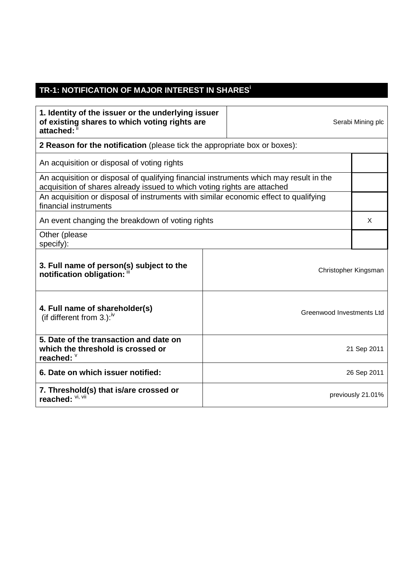## **TR-1: NOTIFICATION OF MAJOR INTEREST IN SHARES<sup>i</sup>**

| 1. Identity of the issuer or the underlying issuer<br>of existing shares to which voting rights are<br>attached:                                                   |                           |                   | Serabi Mining plc |  |
|--------------------------------------------------------------------------------------------------------------------------------------------------------------------|---------------------------|-------------------|-------------------|--|
| <b>2 Reason for the notification</b> (please tick the appropriate box or boxes):                                                                                   |                           |                   |                   |  |
| An acquisition or disposal of voting rights                                                                                                                        |                           |                   |                   |  |
| An acquisition or disposal of qualifying financial instruments which may result in the<br>acquisition of shares already issued to which voting rights are attached |                           |                   |                   |  |
| An acquisition or disposal of instruments with similar economic effect to qualifying<br>financial instruments                                                      |                           |                   |                   |  |
| An event changing the breakdown of voting rights                                                                                                                   |                           |                   |                   |  |
| Other (please<br>specify):                                                                                                                                         |                           |                   |                   |  |
| 3. Full name of person(s) subject to the<br>notification obligation: "                                                                                             | Christopher Kingsman      |                   |                   |  |
| 4. Full name of shareholder(s)<br>(if different from 3.): $\frac{iv}{ }$                                                                                           | Greenwood Investments Ltd |                   |                   |  |
| 5. Date of the transaction and date on<br>which the threshold is crossed or<br>reached: V                                                                          | 21 Sep 2011               |                   |                   |  |
| 6. Date on which issuer notified:                                                                                                                                  | 26 Sep 2011               |                   |                   |  |
| 7. Threshold(s) that is/are crossed or<br>reached: VI, VII                                                                                                         |                           | previously 21.01% |                   |  |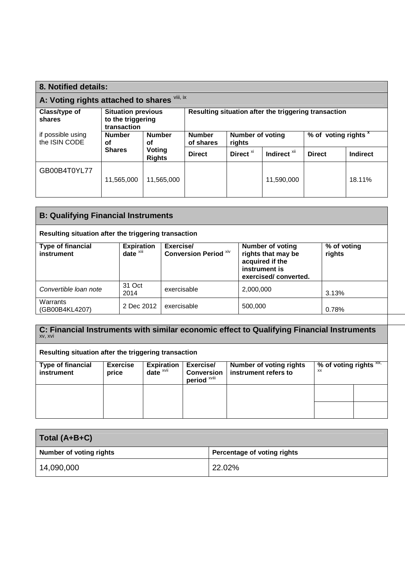| 8. Notified details:                         |                                                               |                            |                                                      |                      |                                    |               |                 |
|----------------------------------------------|---------------------------------------------------------------|----------------------------|------------------------------------------------------|----------------------|------------------------------------|---------------|-----------------|
| A: Voting rights attached to shares Vili, ix |                                                               |                            |                                                      |                      |                                    |               |                 |
| Class/type of<br>shares                      | <b>Situation previous</b><br>to the triggering<br>transaction |                            | Resulting situation after the triggering transaction |                      |                                    |               |                 |
| if possible using<br>the ISIN CODE           | <b>Number</b><br><b>Number</b><br>οf<br>οf                    | <b>Number</b><br>of shares | Number of voting<br>rights                           |                      | $\frac{1}{2}$ of voting rights $x$ |               |                 |
|                                              | <b>Shares</b>                                                 | Voting<br><b>Rights</b>    | <b>Direct</b>                                        | Direct <sup>xi</sup> | Indirect <sup>xii</sup>            | <b>Direct</b> | <b>Indirect</b> |
| GB00B4T0YL77                                 | 11,565,000                                                    | 11.565.000                 |                                                      |                      | 11.590.000                         |               | 18.11%          |

| <b>B: Qualifying Financial Instruments</b>           |                            |                                    |                                                                                                           |                       |
|------------------------------------------------------|----------------------------|------------------------------------|-----------------------------------------------------------------------------------------------------------|-----------------------|
| Resulting situation after the triggering transaction |                            |                                    |                                                                                                           |                       |
| <b>Type of financial</b><br>instrument               | Expiration<br>date $x$ iii | Exercise/<br>Conversion Period Xiv | <b>Number of voting</b><br>rights that may be<br>acquired if the<br>instrument is<br>exercised/converted. | % of voting<br>rights |
| Convertible loan note                                | 31 Oct<br>2014             | exercisable                        | 2.000.000                                                                                                 | 3.13%                 |
| Warrants<br>(GB00B4KL4207)                           | 2 Dec 2012                 | exercisable                        | 500,000                                                                                                   | 0.78%                 |

**C: Financial Instruments with similar economic effect to Qualifying Financial Instruments**  xv, xvi

**Resulting situation after the triggering transaction** 

| <b>Type of financial</b><br>instrument | <b>Exercise</b><br>price | <b>Expiration</b><br>date <sup>xvii</sup> | Exercise/<br><b>Conversion</b><br>period <sup>xviii</sup> | <b>Number of voting rights</b><br>instrument refers to | % of voting rights $\frac{X}{X}$<br>XX |  |
|----------------------------------------|--------------------------|-------------------------------------------|-----------------------------------------------------------|--------------------------------------------------------|----------------------------------------|--|
|                                        |                          |                                           |                                                           |                                                        |                                        |  |
|                                        |                          |                                           |                                                           |                                                        |                                        |  |

| Total (A+B+C)                  |                             |
|--------------------------------|-----------------------------|
| <b>Number of voting rights</b> | Percentage of voting rights |
| 14,090,000                     | 22.02%                      |